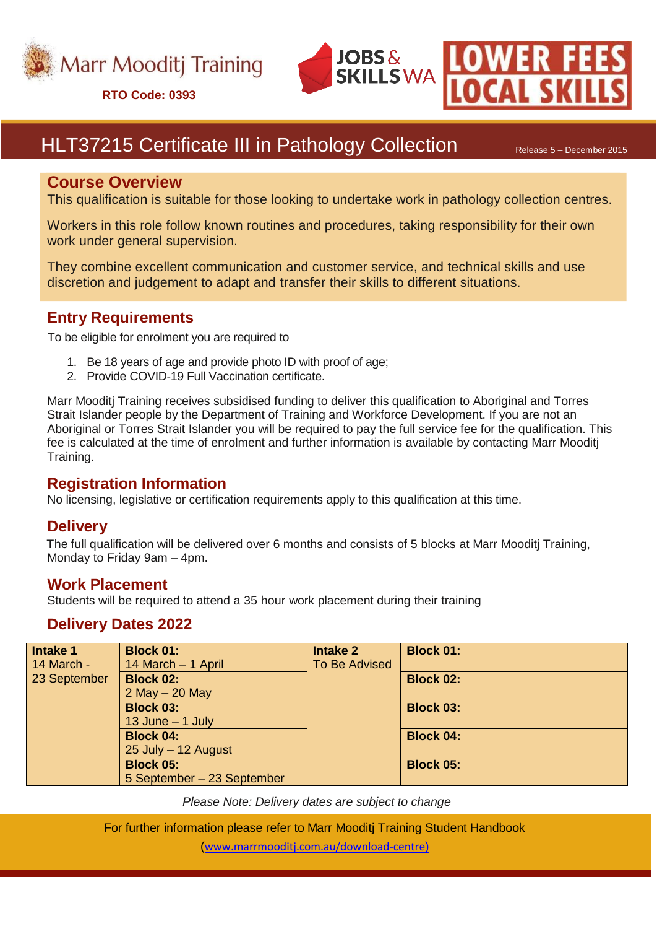

**RTO Code: 0393**





# HLT37215 Certificate III in Pathology Collection Release 5 - December 2015

#### **Course Overview**

This qualification is suitable for those looking to undertake work in pathology collection centres.

Workers in this role follow known routines and procedures, taking responsibility for their own work under general supervision.

They combine excellent communication and customer service, and technical skills and use discretion and judgement to adapt and transfer their skills to different situations.

### **Entry Requirements**

To be eligible for enrolment you are required to

- 1. Be 18 years of age and provide photo ID with proof of age;
- 2. Provide COVID-19 Full Vaccination certificate.

Marr Mooditj Training receives subsidised funding to deliver this qualification to Aboriginal and Torres Strait Islander people by the Department of Training and Workforce Development. If you are not an Aboriginal or Torres Strait Islander you will be required to pay the full service fee for the qualification. This fee is calculated at the time of enrolment and further information is available by contacting Marr Mooditj Training.

#### **Registration Information**

No licensing, legislative or certification requirements apply to this qualification at this time.

#### **Delivery**

The full qualification will be delivered over 6 months and consists of 5 blocks at Marr Mooditj Training, Monday to Friday 9am – 4pm.

#### **Work Placement**

Students will be required to attend a 35 hour work placement during their training

#### **Delivery Dates 2022**

| Intake 1     | <b>Block 01:</b>           | <b>Intake 2</b> | <b>Block 01:</b> |
|--------------|----------------------------|-----------------|------------------|
| 14 March -   | 14 March - 1 April         | To Be Advised   |                  |
| 23 September | <b>Block 02:</b>           |                 | <b>Block 02:</b> |
|              | $2$ May $-$ 20 May         |                 |                  |
|              | <b>Block 03:</b>           |                 | <b>Block 03:</b> |
|              | 13 June $-$ 1 July         |                 |                  |
|              | <b>Block 04:</b>           |                 | <b>Block 04:</b> |
|              | 25 July - 12 August        |                 |                  |
|              | <b>Block 05:</b>           |                 | <b>Block 05:</b> |
|              | 5 September - 23 September |                 |                  |

*Please Note: Delivery dates are subject to change*

For further information please refer to Marr Mooditj Training Student Handbook ([www.marrmooditj.com.au/download-centre](http://www.marrmooditj.com.au/download-centre)))